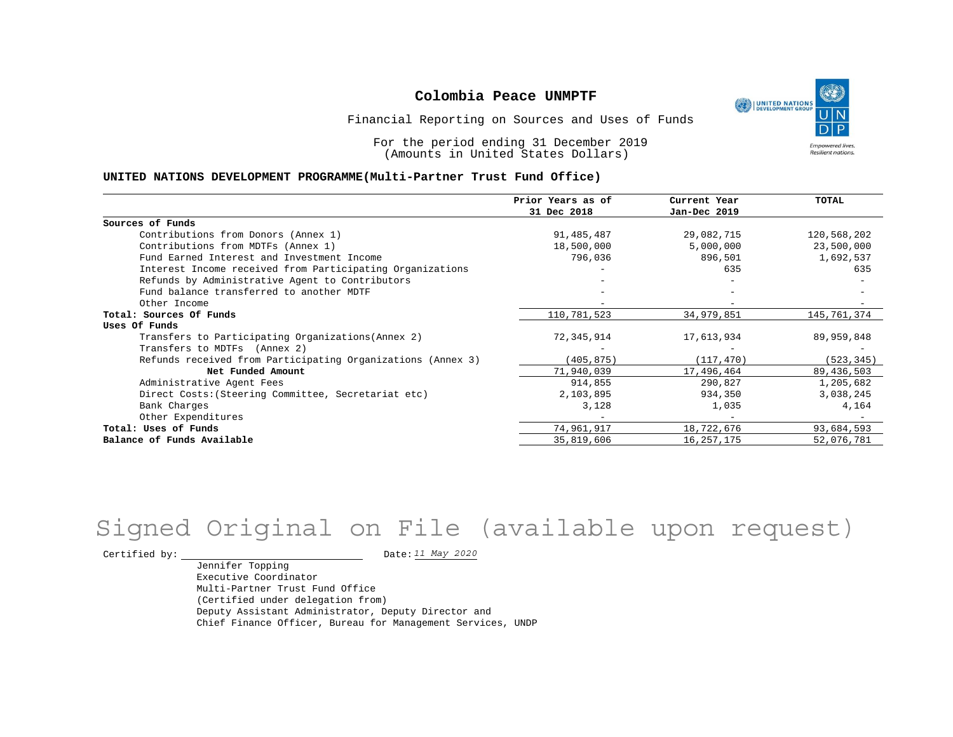UNITED NATIONS **Empowered lives Resilient nations.** 

Financial Reporting on Sources and Uses of Funds

For the period ending 31 December 2019 (Amounts in United States Dollars)

#### **UNITED NATIONS DEVELOPMENT PROGRAMME(Multi-Partner Trust Fund Office)**

|                                                             | Prior Years as of | Current Year | <b>TOTAL</b> |
|-------------------------------------------------------------|-------------------|--------------|--------------|
|                                                             | 31 Dec 2018       | Jan-Dec 2019 |              |
| Sources of Funds                                            |                   |              |              |
| Contributions from Donors (Annex 1)                         | 91,485,487        | 29,082,715   | 120,568,202  |
| Contributions from MDTFs (Annex 1)                          | 18,500,000        | 5,000,000    | 23,500,000   |
| Fund Earned Interest and Investment Income                  | 796,036           | 896,501      | 1,692,537    |
| Interest Income received from Participating Organizations   |                   | 635          | 635          |
| Refunds by Administrative Agent to Contributors             |                   |              |              |
| Fund balance transferred to another MDTF                    |                   |              |              |
| Other Income                                                |                   |              |              |
| Total: Sources Of Funds                                     | 110,781,523       | 34,979,851   | 145,761,374  |
| Uses Of Funds                                               |                   |              |              |
| Transfers to Participating Organizations (Annex 2)          | 72,345,914        | 17,613,934   | 89,959,848   |
| Transfers to MDTFs (Annex 2)                                |                   |              |              |
| Refunds received from Participating Organizations (Annex 3) | (405,875)         | (117, 470)   | (523, 345)   |
| Net Funded Amount                                           | 71,940,039        | 17,496,464   | 89,436,503   |
| Administrative Agent Fees                                   | 914,855           | 290,827      | 1,205,682    |
| Direct Costs: (Steering Committee, Secretariat etc)         | 2,103,895         | 934,350      | 3,038,245    |
| Bank Charges                                                | 3,128             | 1,035        | 4,164        |
| Other Expenditures                                          |                   |              |              |
| Total: Uses of Funds                                        | 74,961,917        | 18,722,676   | 93,684,593   |
| Balance of Funds Available                                  | 35,819,606        | 16, 257, 175 | 52,076,781   |

## Signed Original on File (available upon request)

Certified by:  $\frac{11 May 2020}{100}$ 

Jennifer Topping Executive Coordinator Multi-Partner Trust Fund Office (Certified under delegation from) Deputy Assistant Administrator, Deputy Director and Chief Finance Officer, Bureau for Management Services, UNDP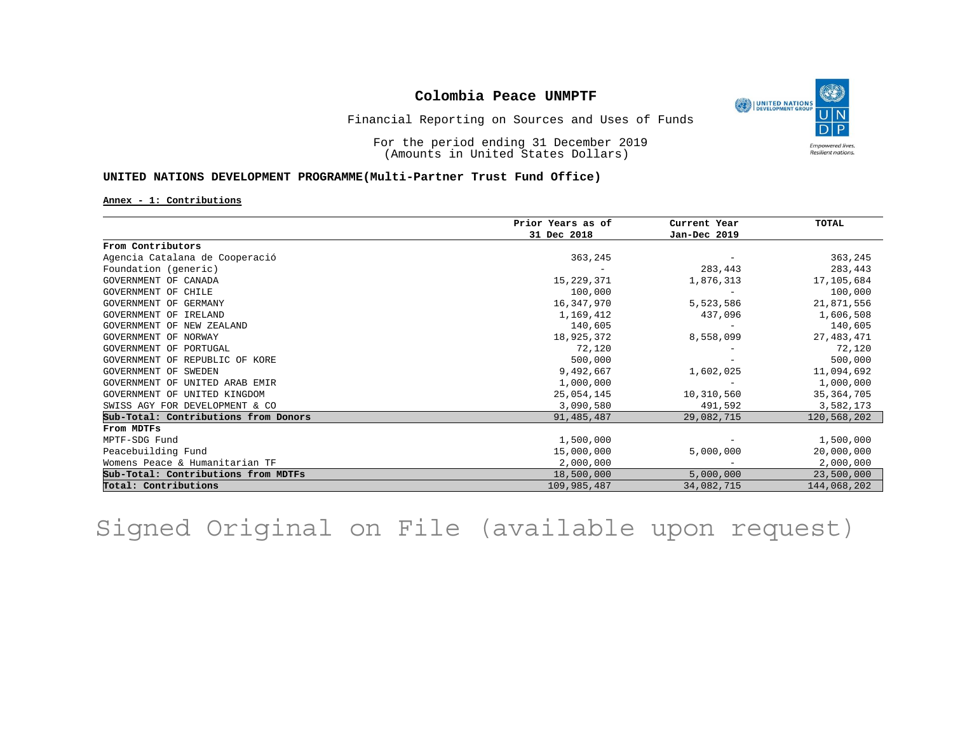

Financial Reporting on Sources and Uses of Funds

For the period ending 31 December 2019 (Amounts in United States Dollars)

#### **UNITED NATIONS DEVELOPMENT PROGRAMME(Multi-Partner Trust Fund Office)**

**Annex - 1: Contributions**

|                                      | Prior Years as of | Current Year<br>Jan-Dec 2019 | <b>TOTAL</b> |
|--------------------------------------|-------------------|------------------------------|--------------|
|                                      | 31 Dec 2018       |                              |              |
| From Contributors                    |                   |                              |              |
| Agencia Catalana de Cooperació       | 363,245           |                              | 363,245      |
| Foundation (generic)                 |                   | 283,443                      | 283,443      |
| GOVERNMENT OF CANADA                 | 15, 229, 371      | 1,876,313                    | 17,105,684   |
| GOVERNMENT OF CHILE                  | 100,000           |                              | 100,000      |
| GOVERNMENT OF GERMANY                | 16,347,970        | 5,523,586                    | 21,871,556   |
| GOVERNMENT OF IRELAND                | 1,169,412         | 437,096                      | 1,606,508    |
| GOVERNMENT OF NEW ZEALAND            | 140,605           |                              | 140,605      |
| GOVERNMENT OF NORWAY                 | 18,925,372        | 8,558,099                    | 27, 483, 471 |
| GOVERNMENT OF PORTUGAL               | 72,120            |                              | 72,120       |
| GOVERNMENT OF REPUBLIC OF KORE       | 500,000           |                              | 500,000      |
| GOVERNMENT OF SWEDEN                 | 9,492,667         | 1,602,025                    | 11,094,692   |
| GOVERNMENT OF UNITED ARAB EMIR       | 1,000,000         |                              | 1,000,000    |
| GOVERNMENT OF UNITED KINGDOM         | 25,054,145        | 10,310,560                   | 35, 364, 705 |
| SWISS AGY FOR DEVELOPMENT & CO       | 3,090,580         | 491,592                      | 3,582,173    |
| Sub-Total: Contributions from Donors | 91, 485, 487      | 29,082,715                   | 120,568,202  |
| From MDTFs                           |                   |                              |              |
| MPTF-SDG Fund                        | 1,500,000         |                              | 1,500,000    |
| Peacebuilding Fund                   | 15,000,000        | 5,000,000                    | 20,000,000   |
| Womens Peace & Humanitarian TF       | 2,000,000         |                              | 2,000,000    |
| Sub-Total: Contributions from MDTFs  | 18,500,000        | 5,000,000                    | 23,500,000   |
| Total: Contributions                 | 109,985,487       | 34,082,715                   | 144,068,202  |

Signed Original on File (available upon request)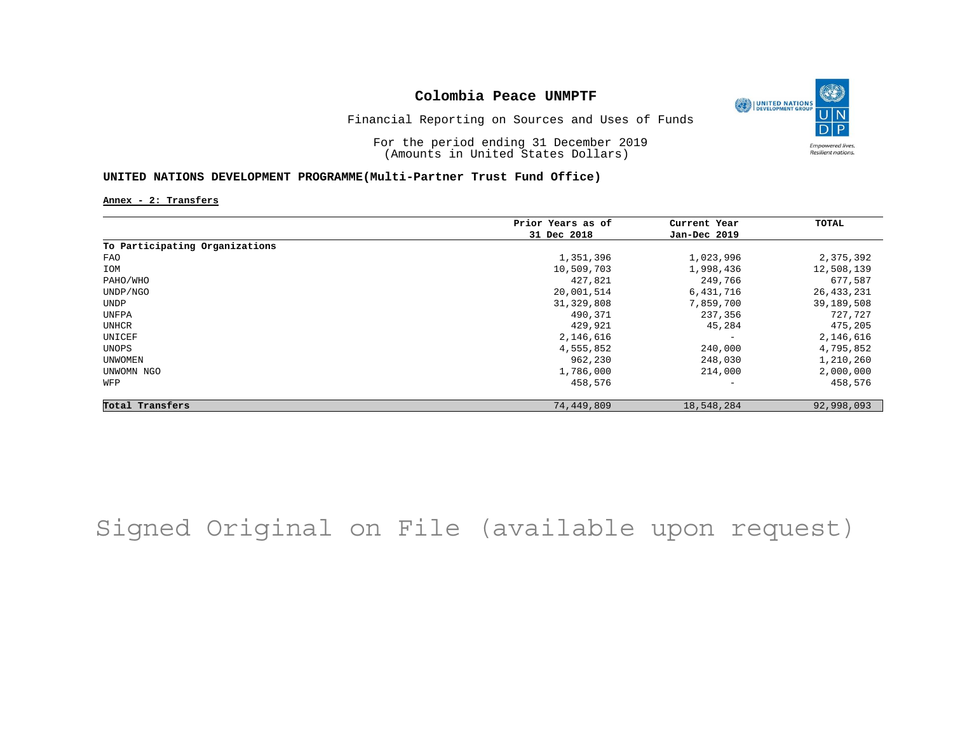

Financial Reporting on Sources and Uses of Funds

For the period ending 31 December 2019 (Amounts in United States Dollars)

#### **UNITED NATIONS DEVELOPMENT PROGRAMME(Multi-Partner Trust Fund Office)**

**Annex - 2: Transfers**

|                                | Prior Years as of | Current Year             | TOTAL        |
|--------------------------------|-------------------|--------------------------|--------------|
|                                | 31 Dec 2018       | Jan-Dec 2019             |              |
| To Participating Organizations |                   |                          |              |
| FAO                            | 1,351,396         | 1,023,996                | 2,375,392    |
| IOM                            | 10,509,703        | 1,998,436                | 12,508,139   |
| PAHO/WHO                       | 427,821           | 249,766                  | 677,587      |
| UNDP/NGO                       | 20,001,514        | 6,431,716                | 26, 433, 231 |
| UNDP                           | 31, 329, 808      | 7,859,700                | 39,189,508   |
| UNFPA                          | 490,371           | 237,356                  | 727,727      |
| UNHCR                          | 429,921           | 45,284                   | 475,205      |
| UNICEF                         | 2,146,616         | $\qquad \qquad -$        | 2,146,616    |
| UNOPS                          | 4,555,852         | 240,000                  | 4,795,852    |
| UNWOMEN                        | 962,230           | 248,030                  | 1,210,260    |
| UNWOMN NGO                     | 1,786,000         | 214,000                  | 2,000,000    |
| WFP                            | 458,576           | $\overline{\phantom{a}}$ | 458,576      |
| Total Transfers                | 74,449,809        | 18,548,284               | 92,998,093   |

## Signed Original on File (available upon request)